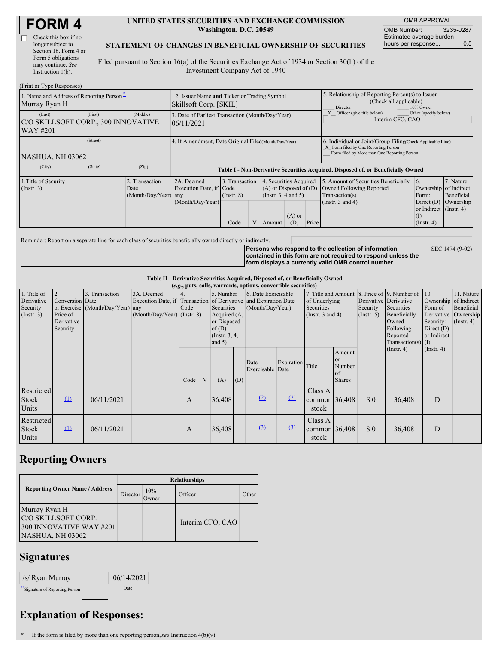| <b>FORM 4</b> |
|---------------|
|---------------|

Г

#### **UNITED STATES SECURITIES AND EXCHANGE COMMISSION Washington, D.C. 20549**

OMB APPROVAL OMB Number: 3235-0287 Estimated average burden hours per response... 0.5

#### **STATEMENT OF CHANGES IN BENEFICIAL OWNERSHIP OF SECURITIES**

Filed pursuant to Section 16(a) of the Securities Exchange Act of 1934 or Section 30(h) of the Investment Company Act of 1940

| (Print or Type Responses)                                            |                                                                       |                                                                                  |                                           |  |                                                                                                                   |  |                                                                                                                                                    |                                                                                                             |                                                                                                           |                                      |
|----------------------------------------------------------------------|-----------------------------------------------------------------------|----------------------------------------------------------------------------------|-------------------------------------------|--|-------------------------------------------------------------------------------------------------------------------|--|----------------------------------------------------------------------------------------------------------------------------------------------------|-------------------------------------------------------------------------------------------------------------|-----------------------------------------------------------------------------------------------------------|--------------------------------------|
| 1. Name and Address of Reporting Person-<br>Murray Ryan H            | 2. Issuer Name and Ticker or Trading Symbol<br>Skillsoft Corp. [SKIL] |                                                                                  |                                           |  |                                                                                                                   |  | 5. Relationship of Reporting Person(s) to Issuer<br>(Check all applicable)<br>10% Owner<br>Director                                                |                                                                                                             |                                                                                                           |                                      |
| (First)<br>(Last)<br>C/O SKILLSOFT CORP., 300 INNOVATIVE<br>WAY #201 | 3. Date of Earliest Transaction (Month/Day/Year)<br>06/11/2021        |                                                                                  |                                           |  |                                                                                                                   |  | Other (specify below)<br>Officer (give title below)<br>Interim CFO, CAO                                                                            |                                                                                                             |                                                                                                           |                                      |
| (Street)<br>NASHUA, NH 03062                                         | 4. If Amendment, Date Original Filed (Month/Day/Year)                 |                                                                                  |                                           |  |                                                                                                                   |  | 6. Individual or Joint/Group Filing Check Applicable Line)<br>X Form filed by One Reporting Person<br>Form filed by More than One Reporting Person |                                                                                                             |                                                                                                           |                                      |
| (City)<br>(State)                                                    | (Zip)                                                                 | Table I - Non-Derivative Securities Acquired, Disposed of, or Beneficially Owned |                                           |  |                                                                                                                   |  |                                                                                                                                                    |                                                                                                             |                                                                                                           |                                      |
| 1. Title of Security<br>$($ Instr. 3 $)$                             | Transaction<br>Date<br>(Month/Day/Year) any                           | 2A. Deemed<br>Execution Date, if Code<br>(Month/Day/Year)                        | 3. Transaction<br>$($ Instr. $8)$<br>Code |  | 4. Securities Acquired<br>$(A)$ or Disposed of $(D)$<br>(Instr. 3, 4 and 5)<br>$(A)$ or<br>Price<br>(D)<br>Amount |  |                                                                                                                                                    | 5. Amount of Securities Beneficially<br>Owned Following Reported<br>Transaction(s)<br>(Instr. $3$ and $4$ ) | 6.<br>Ownership of Indirect<br>Form:<br>Direct $(D)$<br>or Indirect (Instr. 4)<br>(I)<br>$($ Instr. 4 $)$ | 7. Nature<br>Beneficial<br>Ownership |

Reminder: Report on a separate line for each class of securities beneficially owned directly or indirectly.

**Persons who respond to the collection of information contained in this form are not required to respond unless the form displays a currently valid OMB control number.**

SEC 1474 (9-02)

#### **Table II - Derivative Securities Acquired, Disposed of, or Beneficially Owned (***e.g.***, puts, calls, warrants, options, convertible securities)**

| $(c, \zeta, \mu, \zeta)$ cans, warrants, options, convertible securities |                                                             |                                                    |                                             |      |   |                                                                                   |                                                                                                                               |                          |                                                                                                                 |                                     |                                                       |                                                                                      |                                                                              |                                                                      |  |
|--------------------------------------------------------------------------|-------------------------------------------------------------|----------------------------------------------------|---------------------------------------------|------|---|-----------------------------------------------------------------------------------|-------------------------------------------------------------------------------------------------------------------------------|--------------------------|-----------------------------------------------------------------------------------------------------------------|-------------------------------------|-------------------------------------------------------|--------------------------------------------------------------------------------------|------------------------------------------------------------------------------|----------------------------------------------------------------------|--|
| 1. Title of<br>Derivative<br>Security<br>(Insert. 3)                     | 2.<br>Conversion Date<br>Price of<br>Derivative<br>Security | 3. Transaction<br>or Exercise (Month/Day/Year) any | 3A. Deemed<br>$(Month/Day/Year)$ (Instr. 8) | Code |   | 5. Number<br>Securities<br>or Disposed<br>of $(D)$<br>(Instr. $3, 4,$<br>and $5)$ | 6. Date Exercisable<br>Execution Date, if Transaction of Derivative and Expiration Date<br>(Month/Day/Year)<br>Acquired $(A)$ |                          | 7. Title and Amount 8. Price of 9. Number of 10.<br>of Underlying<br><b>Securities</b><br>(Instr. $3$ and $4$ ) |                                     | Derivative Derivative<br>Security<br>$($ Instr. 5 $)$ | Securities<br>Beneficially<br>Owned<br>Following<br>Reported<br>Transaction(s) $(I)$ | Ownership of Indirect<br>Form of<br>Security:<br>Direct $(D)$<br>or Indirect | 11. Nature<br>Beneficial<br>Derivative Ownership<br>$($ Instr. 4 $)$ |  |
|                                                                          |                                                             |                                                    |                                             | Code | V | (A)                                                                               | (D)                                                                                                                           | Date<br>Exercisable Date | Expiration                                                                                                      | Title                               | Amount<br>or<br>Number<br>of<br>Shares                |                                                                                      | $($ Instr. 4 $)$                                                             | $($ Instr. 4 $)$                                                     |  |
| Restricted<br><b>Stock</b><br>Units                                      | $\Omega$                                                    | 06/11/2021                                         |                                             | A    |   | 36,408                                                                            |                                                                                                                               | (2)                      | (2)                                                                                                             | Class A<br>common $36,408$<br>stock |                                                       | $\Omega$                                                                             | 36,408                                                                       | D                                                                    |  |
| Restricted<br>Stock<br><b>Units</b>                                      | $\mathbf{u}$                                                | 06/11/2021                                         |                                             | A    |   | 36,408                                                                            |                                                                                                                               | $\Omega$                 | $\Omega$                                                                                                        | Class A<br>common 36,408<br>stock   |                                                       | \$0                                                                                  | 36,408                                                                       | D                                                                    |  |

# **Reporting Owners**

|                                                                                     | <b>Relationships</b> |              |                  |       |  |  |  |  |
|-------------------------------------------------------------------------------------|----------------------|--------------|------------------|-------|--|--|--|--|
| <b>Reporting Owner Name / Address</b>                                               | Director             | 10%<br>Owner | Officer          | Other |  |  |  |  |
| Murray Ryan H<br>C/O SKILLSOFT CORP.<br>300 INNOVATIVE WAY #201<br>NASHUA, NH 03062 |                      |              | Interim CFO, CAO |       |  |  |  |  |

# **Signatures**

| /s/ Ryan Murray                 | 06/14/2021 |
|---------------------------------|------------|
| **Signature of Reporting Person | Date       |

# **Explanation of Responses:**

**\*** If the form is filed by more than one reporting person,*see* Instruction 4(b)(v).